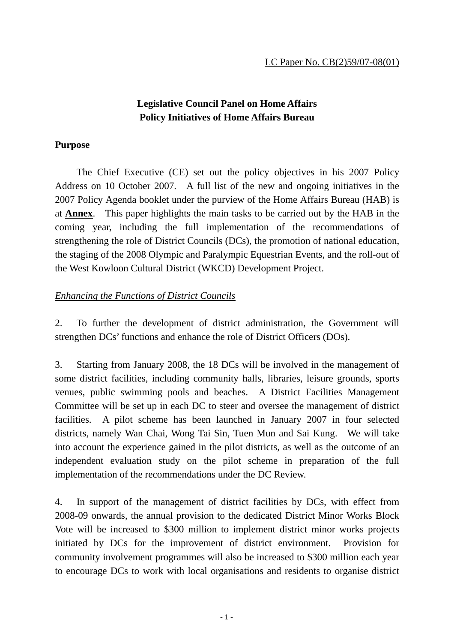## **Legislative Council Panel on Home Affairs Policy Initiatives of Home Affairs Bureau**

### **Purpose**

 The Chief Executive (CE) set out the policy objectives in his 2007 Policy Address on 10 October 2007. A full list of the new and ongoing initiatives in the 2007 Policy Agenda booklet under the purview of the Home Affairs Bureau (HAB) is at **Annex**. This paper highlights the main tasks to be carried out by the HAB in the coming year, including the full implementation of the recommendations of strengthening the role of District Councils (DCs), the promotion of national education, the staging of the 2008 Olympic and Paralympic Equestrian Events, and the roll-out of the West Kowloon Cultural District (WKCD) Development Project.

## *Enhancing the Functions of District Councils*

2. To further the development of district administration, the Government will strengthen DCs' functions and enhance the role of District Officers (DOs).

3. Starting from January 2008, the 18 DCs will be involved in the management of some district facilities, including community halls, libraries, leisure grounds, sports venues, public swimming pools and beaches. A District Facilities Management Committee will be set up in each DC to steer and oversee the management of district facilities. A pilot scheme has been launched in January 2007 in four selected districts, namely Wan Chai, Wong Tai Sin, Tuen Mun and Sai Kung. We will take into account the experience gained in the pilot districts, as well as the outcome of an independent evaluation study on the pilot scheme in preparation of the full implementation of the recommendations under the DC Review.

4. In support of the management of district facilities by DCs, with effect from 2008-09 onwards, the annual provision to the dedicated District Minor Works Block Vote will be increased to \$300 million to implement district minor works projects initiated by DCs for the improvement of district environment. Provision for community involvement programmes will also be increased to \$300 million each year to encourage DCs to work with local organisations and residents to organise district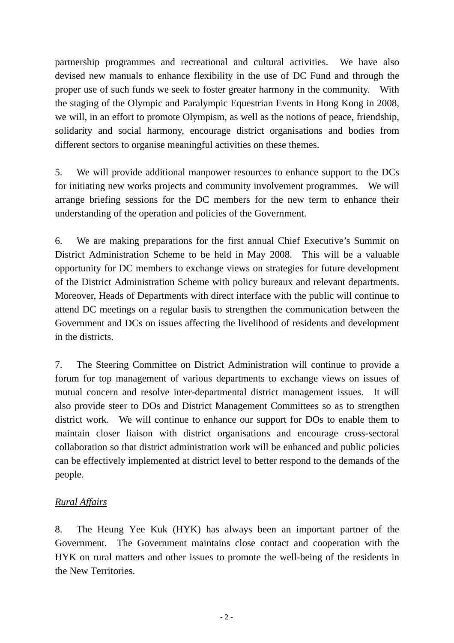partnership programmes and recreational and cultural activities. We have also devised new manuals to enhance flexibility in the use of DC Fund and through the proper use of such funds we seek to foster greater harmony in the community. With the staging of the Olympic and Paralympic Equestrian Events in Hong Kong in 2008, we will, in an effort to promote Olympism, as well as the notions of peace, friendship, solidarity and social harmony, encourage district organisations and bodies from different sectors to organise meaningful activities on these themes.

5. We will provide additional manpower resources to enhance support to the DCs for initiating new works projects and community involvement programmes. We will arrange briefing sessions for the DC members for the new term to enhance their understanding of the operation and policies of the Government.

6. We are making preparations for the first annual Chief Executive's Summit on District Administration Scheme to be held in May 2008. This will be a valuable opportunity for DC members to exchange views on strategies for future development of the District Administration Scheme with policy bureaux and relevant departments. Moreover, Heads of Departments with direct interface with the public will continue to attend DC meetings on a regular basis to strengthen the communication between the Government and DCs on issues affecting the livelihood of residents and development in the districts.

7. The Steering Committee on District Administration will continue to provide a forum for top management of various departments to exchange views on issues of mutual concern and resolve inter-departmental district management issues. It will also provide steer to DOs and District Management Committees so as to strengthen district work. We will continue to enhance our support for DOs to enable them to maintain closer liaison with district organisations and encourage cross-sectoral collaboration so that district administration work will be enhanced and public policies can be effectively implemented at district level to better respond to the demands of the people.

## *Rural Affairs*

8. The Heung Yee Kuk (HYK) has always been an important partner of the Government. The Government maintains close contact and cooperation with the HYK on rural matters and other issues to promote the well-being of the residents in the New Territories.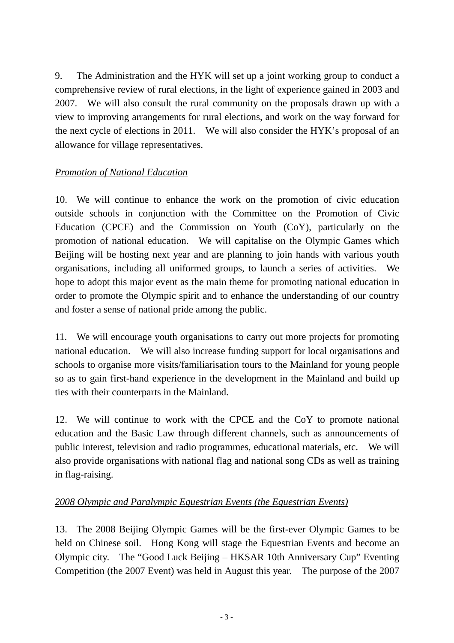9. The Administration and the HYK will set up a joint working group to conduct a comprehensive review of rural elections, in the light of experience gained in 2003 and 2007. We will also consult the rural community on the proposals drawn up with a view to improving arrangements for rural elections, and work on the way forward for the next cycle of elections in 2011. We will also consider the HYK's proposal of an allowance for village representatives.

## *Promotion of National Education*

10. We will continue to enhance the work on the promotion of civic education outside schools in conjunction with the Committee on the Promotion of Civic Education (CPCE) and the Commission on Youth (CoY), particularly on the promotion of national education. We will capitalise on the Olympic Games which Beijing will be hosting next year and are planning to join hands with various youth organisations, including all uniformed groups, to launch a series of activities. We hope to adopt this major event as the main theme for promoting national education in order to promote the Olympic spirit and to enhance the understanding of our country and foster a sense of national pride among the public.

11. We will encourage youth organisations to carry out more projects for promoting national education. We will also increase funding support for local organisations and schools to organise more visits/familiarisation tours to the Mainland for young people so as to gain first-hand experience in the development in the Mainland and build up ties with their counterparts in the Mainland.

12. We will continue to work with the CPCE and the CoY to promote national education and the Basic Law through different channels, such as announcements of public interest, television and radio programmes, educational materials, etc. We will also provide organisations with national flag and national song CDs as well as training in flag-raising.

## *2008 Olympic and Paralympic Equestrian Events (the Equestrian Events)*

13. The 2008 Beijing Olympic Games will be the first-ever Olympic Games to be held on Chinese soil. Hong Kong will stage the Equestrian Events and become an Olympic city. The "Good Luck Beijing – HKSAR 10th Anniversary Cup" Eventing Competition (the 2007 Event) was held in August this year. The purpose of the 2007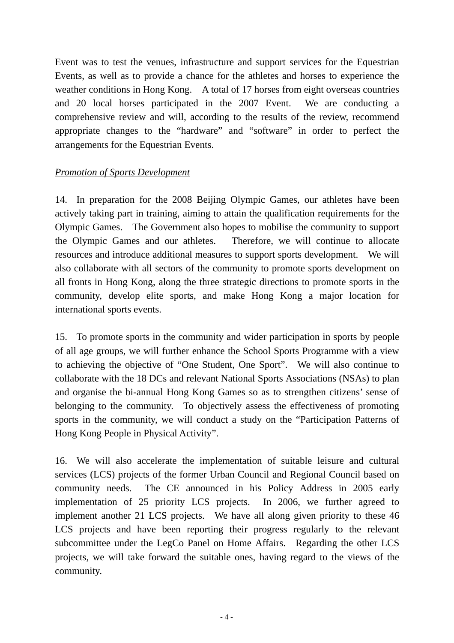Event was to test the venues, infrastructure and support services for the Equestrian Events, as well as to provide a chance for the athletes and horses to experience the weather conditions in Hong Kong. A total of 17 horses from eight overseas countries and 20 local horses participated in the 2007 Event. We are conducting a comprehensive review and will, according to the results of the review, recommend appropriate changes to the "hardware" and "software" in order to perfect the arrangements for the Equestrian Events.

## *Promotion of Sports Development*

14. In preparation for the 2008 Beijing Olympic Games, our athletes have been actively taking part in training, aiming to attain the qualification requirements for the Olympic Games. The Government also hopes to mobilise the community to support the Olympic Games and our athletes. Therefore, we will continue to allocate resources and introduce additional measures to support sports development. We will also collaborate with all sectors of the community to promote sports development on all fronts in Hong Kong, along the three strategic directions to promote sports in the community, develop elite sports, and make Hong Kong a major location for international sports events.

15. To promote sports in the community and wider participation in sports by people of all age groups, we will further enhance the School Sports Programme with a view to achieving the objective of "One Student, One Sport". We will also continue to collaborate with the 18 DCs and relevant National Sports Associations (NSAs) to plan and organise the bi-annual Hong Kong Games so as to strengthen citizens' sense of belonging to the community. To objectively assess the effectiveness of promoting sports in the community, we will conduct a study on the "Participation Patterns of Hong Kong People in Physical Activity".

16. We will also accelerate the implementation of suitable leisure and cultural services (LCS) projects of the former Urban Council and Regional Council based on community needs. The CE announced in his Policy Address in 2005 early implementation of 25 priority LCS projects. In 2006, we further agreed to implement another 21 LCS projects. We have all along given priority to these 46 LCS projects and have been reporting their progress regularly to the relevant subcommittee under the LegCo Panel on Home Affairs. Regarding the other LCS projects, we will take forward the suitable ones, having regard to the views of the community.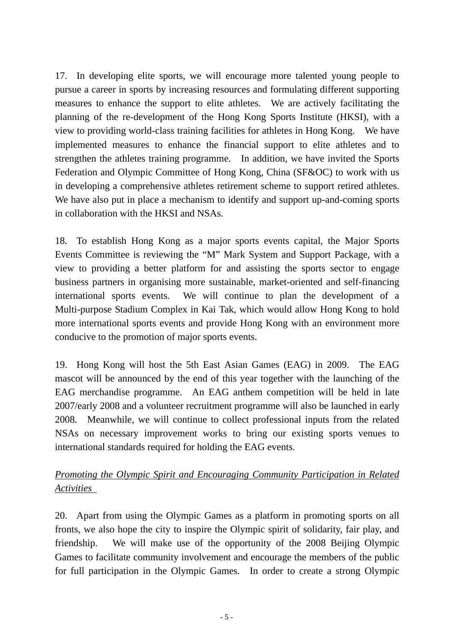17. In developing elite sports, we will encourage more talented young people to pursue a career in sports by increasing resources and formulating different supporting measures to enhance the support to elite athletes. We are actively facilitating the planning of the re-development of the Hong Kong Sports Institute (HKSI), with a view to providing world-class training facilities for athletes in Hong Kong. We have implemented measures to enhance the financial support to elite athletes and to strengthen the athletes training programme. In addition, we have invited the Sports Federation and Olympic Committee of Hong Kong, China (SF&OC) to work with us in developing a comprehensive athletes retirement scheme to support retired athletes. We have also put in place a mechanism to identify and support up-and-coming sports in collaboration with the HKSI and NSAs.

18. To establish Hong Kong as a major sports events capital, the Major Sports Events Committee is reviewing the "M" Mark System and Support Package, with a view to providing a better platform for and assisting the sports sector to engage business partners in organising more sustainable, market-oriented and self-financing international sports events. We will continue to plan the development of a Multi-purpose Stadium Complex in Kai Tak, which would allow Hong Kong to hold more international sports events and provide Hong Kong with an environment more conducive to the promotion of major sports events.

19. Hong Kong will host the 5th East Asian Games (EAG) in 2009. The EAG mascot will be announced by the end of this year together with the launching of the EAG merchandise programme. An EAG anthem competition will be held in late 2007/early 2008 and a volunteer recruitment programme will also be launched in early 2008. Meanwhile, we will continue to collect professional inputs from the related NSAs on necessary improvement works to bring our existing sports venues to international standards required for holding the EAG events.

# *Promoting the Olympic Spirit and Encouraging Community Participation in Related Activities*

20. Apart from using the Olympic Games as a platform in promoting sports on all fronts, we also hope the city to inspire the Olympic spirit of solidarity, fair play, and friendship. We will make use of the opportunity of the 2008 Beijing Olympic Games to facilitate community involvement and encourage the members of the public for full participation in the Olympic Games. In order to create a strong Olympic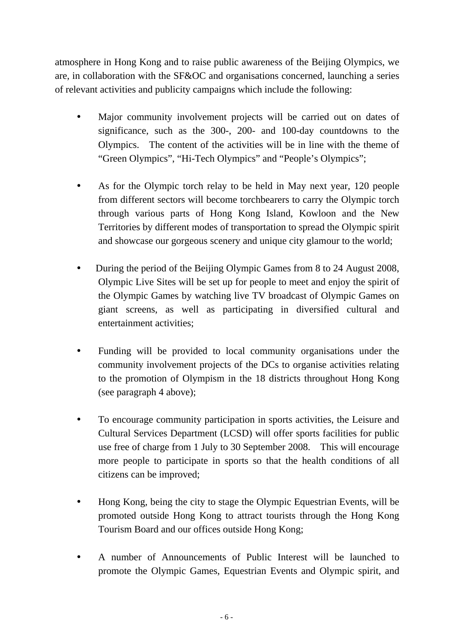atmosphere in Hong Kong and to raise public awareness of the Beijing Olympics, we are, in collaboration with the SF&OC and organisations concerned, launching a series of relevant activities and publicity campaigns which include the following:

- Major community involvement projects will be carried out on dates of significance, such as the 300-, 200- and 100-day countdowns to the Olympics. The content of the activities will be in line with the theme of "Green Olympics", "Hi-Tech Olympics" and "People's Olympics";
- As for the Olympic torch relay to be held in May next year, 120 people from different sectors will become torchbearers to carry the Olympic torch through various parts of Hong Kong Island, Kowloon and the New Territories by different modes of transportation to spread the Olympic spirit and showcase our gorgeous scenery and unique city glamour to the world;
- During the period of the Beijing Olympic Games from 8 to 24 August 2008, Olympic Live Sites will be set up for people to meet and enjoy the spirit of the Olympic Games by watching live TV broadcast of Olympic Games on giant screens, as well as participating in diversified cultural and entertainment activities;
- Funding will be provided to local community organisations under the community involvement projects of the DCs to organise activities relating to the promotion of Olympism in the 18 districts throughout Hong Kong (see paragraph 4 above);
- To encourage community participation in sports activities, the Leisure and Cultural Services Department (LCSD) will offer sports facilities for public use free of charge from 1 July to 30 September 2008. This will encourage more people to participate in sports so that the health conditions of all citizens can be improved;
- Hong Kong, being the city to stage the Olympic Equestrian Events, will be promoted outside Hong Kong to attract tourists through the Hong Kong Tourism Board and our offices outside Hong Kong;
- A number of Announcements of Public Interest will be launched to promote the Olympic Games, Equestrian Events and Olympic spirit, and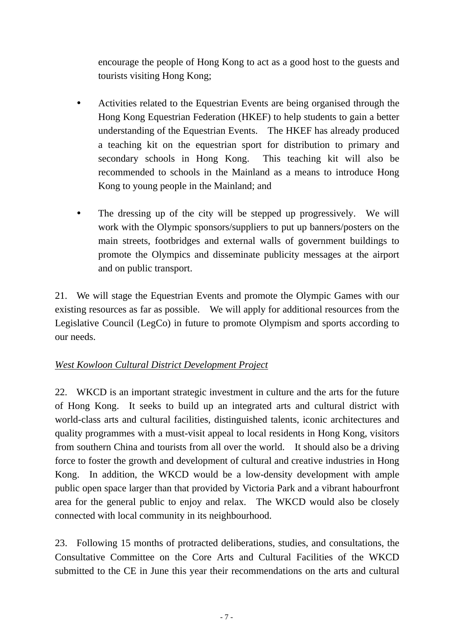encourage the people of Hong Kong to act as a good host to the guests and tourists visiting Hong Kong;

- Activities related to the Equestrian Events are being organised through the Hong Kong Equestrian Federation (HKEF) to help students to gain a better understanding of the Equestrian Events. The HKEF has already produced a teaching kit on the equestrian sport for distribution to primary and secondary schools in Hong Kong. This teaching kit will also be recommended to schools in the Mainland as a means to introduce Hong Kong to young people in the Mainland; and
- The dressing up of the city will be stepped up progressively. We will work with the Olympic sponsors/suppliers to put up banners/posters on the main streets, footbridges and external walls of government buildings to promote the Olympics and disseminate publicity messages at the airport and on public transport.

21. We will stage the Equestrian Events and promote the Olympic Games with our existing resources as far as possible. We will apply for additional resources from the Legislative Council (LegCo) in future to promote Olympism and sports according to our needs.

## *West Kowloon Cultural District Development Project*

22. WKCD is an important strategic investment in culture and the arts for the future of Hong Kong. It seeks to build up an integrated arts and cultural district with world-class arts and cultural facilities, distinguished talents, iconic architectures and quality programmes with a must-visit appeal to local residents in Hong Kong, visitors from southern China and tourists from all over the world. It should also be a driving force to foster the growth and development of cultural and creative industries in Hong Kong. In addition, the WKCD would be a low-density development with ample public open space larger than that provided by Victoria Park and a vibrant habourfront area for the general public to enjoy and relax. The WKCD would also be closely connected with local community in its neighbourhood.

23. Following 15 months of protracted deliberations, studies, and consultations, the Consultative Committee on the Core Arts and Cultural Facilities of the WKCD submitted to the CE in June this year their recommendations on the arts and cultural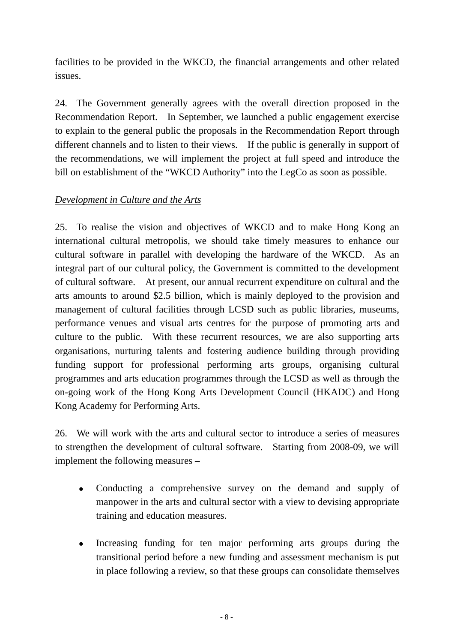facilities to be provided in the WKCD, the financial arrangements and other related issues.

24. The Government generally agrees with the overall direction proposed in the Recommendation Report. In September, we launched a public engagement exercise to explain to the general public the proposals in the Recommendation Report through different channels and to listen to their views. If the public is generally in support of the recommendations, we will implement the project at full speed and introduce the bill on establishment of the "WKCD Authority" into the LegCo as soon as possible.

## *Development in Culture and the Arts*

25. To realise the vision and objectives of WKCD and to make Hong Kong an international cultural metropolis, we should take timely measures to enhance our cultural software in parallel with developing the hardware of the WKCD. As an integral part of our cultural policy, the Government is committed to the development of cultural software. At present, our annual recurrent expenditure on cultural and the arts amounts to around \$2.5 billion, which is mainly deployed to the provision and management of cultural facilities through LCSD such as public libraries, museums, performance venues and visual arts centres for the purpose of promoting arts and culture to the public. With these recurrent resources, we are also supporting arts organisations, nurturing talents and fostering audience building through providing funding support for professional performing arts groups, organising cultural programmes and arts education programmes through the LCSD as well as through the on-going work of the Hong Kong Arts Development Council (HKADC) and Hong Kong Academy for Performing Arts.

26. We will work with the arts and cultural sector to introduce a series of measures to strengthen the development of cultural software. Starting from 2008-09, we will implement the following measures –

- Conducting a comprehensive survey on the demand and supply of manpower in the arts and cultural sector with a view to devising appropriate training and education measures.
- Increasing funding for ten major performing arts groups during the transitional period before a new funding and assessment mechanism is put in place following a review, so that these groups can consolidate themselves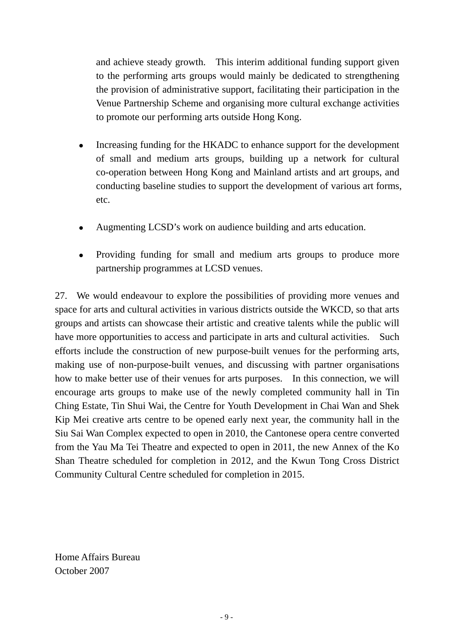and achieve steady growth. This interim additional funding support given to the performing arts groups would mainly be dedicated to strengthening the provision of administrative support, facilitating their participation in the Venue Partnership Scheme and organising more cultural exchange activities to promote our performing arts outside Hong Kong.

- Increasing funding for the HKADC to enhance support for the development of small and medium arts groups, building up a network for cultural co-operation between Hong Kong and Mainland artists and art groups, and conducting baseline studies to support the development of various art forms, etc.
- Augmenting LCSD's work on audience building and arts education.
- Providing funding for small and medium arts groups to produce more partnership programmes at LCSD venues.

27. We would endeavour to explore the possibilities of providing more venues and space for arts and cultural activities in various districts outside the WKCD, so that arts groups and artists can showcase their artistic and creative talents while the public will have more opportunities to access and participate in arts and cultural activities. Such efforts include the construction of new purpose-built venues for the performing arts, making use of non-purpose-built venues, and discussing with partner organisations how to make better use of their venues for arts purposes. In this connection, we will encourage arts groups to make use of the newly completed community hall in Tin Ching Estate, Tin Shui Wai, the Centre for Youth Development in Chai Wan and Shek Kip Mei creative arts centre to be opened early next year, the community hall in the Siu Sai Wan Complex expected to open in 2010, the Cantonese opera centre converted from the Yau Ma Tei Theatre and expected to open in 2011, the new Annex of the Ko Shan Theatre scheduled for completion in 2012, and the Kwun Tong Cross District Community Cultural Centre scheduled for completion in 2015.

Home Affairs Bureau October 2007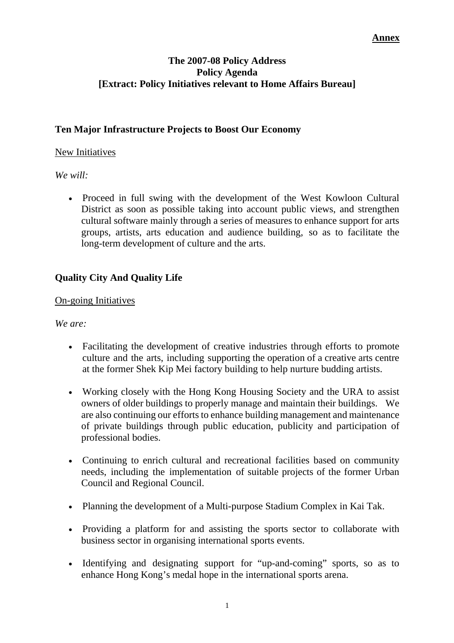#### **Annex**

#### **The 2007-08 Policy Address Policy Agenda [Extract: Policy Initiatives relevant to Home Affairs Bureau]**

### **Ten Major Infrastructure Projects to Boost Our Economy**

#### New Initiatives

*We will:* 

• Proceed in full swing with the development of the West Kowloon Cultural District as soon as possible taking into account public views, and strengthen cultural software mainly through a series of measures to enhance support for arts groups, artists, arts education and audience building, so as to facilitate the long-term development of culture and the arts.

## **Quality City And Quality Life**

#### On-going Initiatives

*We are:* 

- Facilitating the development of creative industries through efforts to promote culture and the arts, including supporting the operation of a creative arts centre at the former Shek Kip Mei factory building to help nurture budding artists.
- Working closely with the Hong Kong Housing Society and the URA to assist owners of older buildings to properly manage and maintain their buildings. We are also continuing our efforts to enhance building management and maintenance of private buildings through public education, publicity and participation of professional bodies.
- Continuing to enrich cultural and recreational facilities based on community needs, including the implementation of suitable projects of the former Urban Council and Regional Council.
- Planning the development of a Multi-purpose Stadium Complex in Kai Tak.
- Providing a platform for and assisting the sports sector to collaborate with business sector in organising international sports events.
- Identifying and designating support for "up-and-coming" sports, so as to enhance Hong Kong's medal hope in the international sports arena.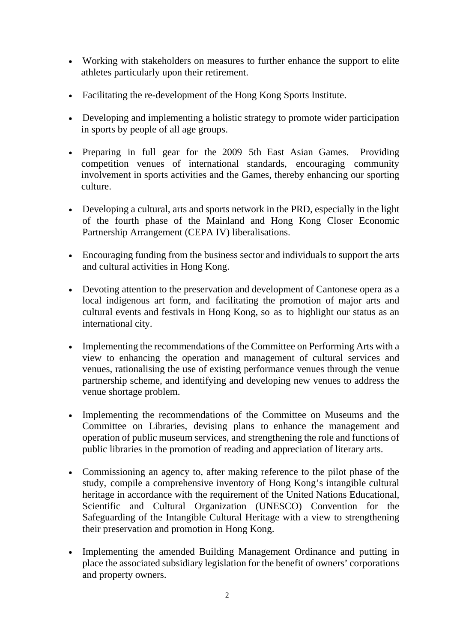- Working with stakeholders on measures to further enhance the support to elite athletes particularly upon their retirement.
- Facilitating the re-development of the Hong Kong Sports Institute.
- Developing and implementing a holistic strategy to promote wider participation in sports by people of all age groups.
- Preparing in full gear for the 2009 5th East Asian Games. Providing competition venues of international standards, encouraging community involvement in sports activities and the Games, thereby enhancing our sporting culture.
- Developing a cultural, arts and sports network in the PRD, especially in the light of the fourth phase of the Mainland and Hong Kong Closer Economic Partnership Arrangement (CEPA IV) liberalisations.
- Encouraging funding from the business sector and individuals to support the arts and cultural activities in Hong Kong.
- Devoting attention to the preservation and development of Cantonese opera as a local indigenous art form, and facilitating the promotion of major arts and cultural events and festivals in Hong Kong, so as to highlight our status as an international city.
- Implementing the recommendations of the Committee on Performing Arts with a view to enhancing the operation and management of cultural services and venues, rationalising the use of existing performance venues through the venue partnership scheme, and identifying and developing new venues to address the venue shortage problem.
- Implementing the recommendations of the Committee on Museums and the Committee on Libraries, devising plans to enhance the management and operation of public museum services, and strengthening the role and functions of public libraries in the promotion of reading and appreciation of literary arts.
- Commissioning an agency to, after making reference to the pilot phase of the study, compile a comprehensive inventory of Hong Kong's intangible cultural heritage in accordance with the requirement of the United Nations Educational, Scientific and Cultural Organization (UNESCO) Convention for the Safeguarding of the Intangible Cultural Heritage with a view to strengthening their preservation and promotion in Hong Kong.
- Implementing the amended Building Management Ordinance and putting in place the associated subsidiary legislation for the benefit of owners' corporations and property owners.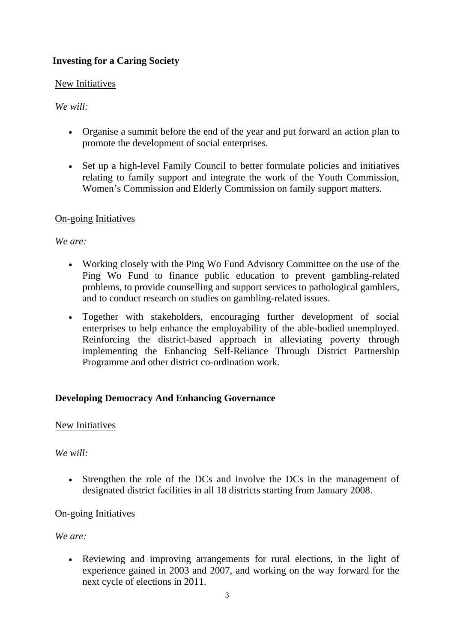## **Investing for a Caring Society**

#### New Initiatives

### *We will:*

- Organise a summit before the end of the year and put forward an action plan to promote the development of social enterprises.
- Set up a high-level Family Council to better formulate policies and initiatives relating to family support and integrate the work of the Youth Commission, Women's Commission and Elderly Commission on family support matters.

## On-going Initiatives

## *We are:*

- Working closely with the Ping Wo Fund Advisory Committee on the use of the Ping Wo Fund to finance public education to prevent gambling-related problems, to provide counselling and support services to pathological gamblers, and to conduct research on studies on gambling-related issues.
- Together with stakeholders, encouraging further development of social enterprises to help enhance the employability of the able-bodied unemployed. Reinforcing the district-based approach in alleviating poverty through implementing the Enhancing Self-Reliance Through District Partnership Programme and other district co-ordination work.

## **Developing Democracy And Enhancing Governance**

### New Initiatives

### *We will:*

• Strengthen the role of the DCs and involve the DCs in the management of designated district facilities in all 18 districts starting from January 2008.

### On-going Initiatives

*We are:* 

• Reviewing and improving arrangements for rural elections, in the light of experience gained in 2003 and 2007, and working on the way forward for the next cycle of elections in 2011.